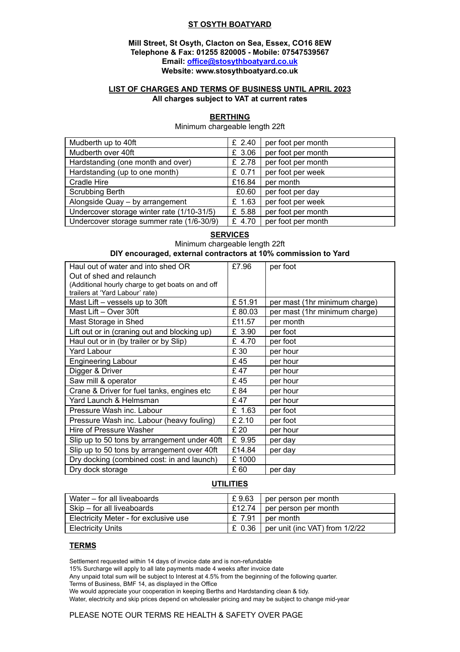## **ST OSYTH BOATYARD**

## **Mill Street, St Osyth, Clacton on Sea, Essex, CO16 8EW Telephone & Fax: 01255 820005 - Mobile: 07547539567 Email: [office@stosythboatyard.co.uk](mailto:office@stosythboatyard.co.uk) Website: www.stosythboatyard.co.uk**

## **LIST OF CHARGES AND TERMS OF BUSINESS UNTIL APRIL 2023 All charges subject to VAT at current rates**

#### **BERTHING** Minimum chargeable length 22ft

Mudberth up to 40ft  $\mathbf{f}$   $\mathbf{f}$   $\mathbf{f}$   $\mathbf{f}$   $\mathbf{f}$   $\mathbf{f}$   $\mathbf{f}$   $\mathbf{f}$   $\mathbf{f}$   $\mathbf{f}$   $\mathbf{f}$   $\mathbf{f}$   $\mathbf{f}$   $\mathbf{f}$   $\mathbf{f}$   $\mathbf{f}$   $\mathbf{f}$   $\mathbf{f}$   $\mathbf{f}$   $\mathbf{f}$   $\mathbf{f}$   $\mathbf{f}$   $\math$ Mudberth over 40ft  $\mathbf{f}$   $\mathbf{f}$   $\mathbf{f}$   $\mathbf{f}$   $\mathbf{f}$   $\mathbf{f}$   $\mathbf{f}$   $\mathbf{f}$   $\mathbf{f}$   $\mathbf{f}$   $\mathbf{f}$   $\mathbf{f}$   $\mathbf{f}$   $\mathbf{f}$   $\mathbf{f}$   $\mathbf{f}$   $\mathbf{f}$   $\mathbf{f}$   $\mathbf{f}$   $\mathbf{f}$   $\mathbf{f}$   $\mathbf{f}$   $\mathbf$ Hardstanding (one month and over)  $\mathbf{E}$  2.78 per foot per month Hardstanding (up to one month)  $\left| \begin{array}{cc} \text{E} & 0.71 \end{array} \right|$  per foot per week Cradle Hire **E16.84** per month Scrubbing Berth **ED.60** per foot per day Alongside Quay – by arrangement  $\vert$  £ 1.63 per foot per week Undercover storage winter rate (1/10-31/5)  $\left| \begin{array}{c} E \\ E \end{array}\right|$  per foot per month Undercover storage summer rate (1/6-30/9)  $\left| \begin{array}{c} E \end{array} \right|$  for foot per month

## **SERVICES** Minimum chargeable length 22ft **DIY encouraged, external contractors at 10% commission to Yard**

| Haul out of water and into shed OR                | £7.96   | per foot                      |
|---------------------------------------------------|---------|-------------------------------|
| Out of shed and relaunch                          |         |                               |
| (Additional hourly charge to get boats on and off |         |                               |
| trailers at 'Yard Labour' rate)                   |         |                               |
| Mast Lift - vessels up to 30ft                    | £ 51.91 | per mast (1hr minimum charge) |
| Mast Lift - Over 30ft                             | £80.03  | per mast (1hr minimum charge) |
| Mast Storage in Shed                              | £11.57  | per month                     |
| Lift out or in (craning out and blocking up)      | £ 3.90  | per foot                      |
| Haul out or in (by trailer or by Slip)            | £ 4.70  | per foot                      |
| Yard Labour                                       | £ 30    | per hour                      |
| <b>Engineering Labour</b>                         | £45     | per hour                      |
| Digger & Driver                                   | £47     | per hour                      |
| Saw mill & operator                               | £45     | per hour                      |
| Crane & Driver for fuel tanks, engines etc        | £ 84    | per hour                      |
| Yard Launch & Helmsman                            | £47     | per hour                      |
| Pressure Wash inc. Labour                         | £ 1.63  | per foot                      |
| Pressure Wash inc. Labour (heavy fouling)         | £ 2.10  | per foot                      |
| Hire of Pressure Washer                           | £20     | per hour                      |
| Slip up to 50 tons by arrangement under 40ft      | £ 9.95  | per day                       |
| Slip up to 50 tons by arrangement over 40ft       | £14.84  | per day                       |
| Dry docking (combined cost: in and launch)        | £ 1000  |                               |
| Dry dock storage                                  | £ 60    | per day                       |

#### **UTILITIES**

| Water – for all liveaboards           | £9.63 | per person per month                      |
|---------------------------------------|-------|-------------------------------------------|
| Skip – for all liveaboards            |       | $E12.74$   per person per month           |
| Electricity Meter - for exclusive use |       | $E$ , 7.91   per month                    |
| <b>Electricity Units</b>              |       | £ 0.36   per unit (inc VAT) from $1/2/22$ |

## **TERMS**

Settlement requested within 14 days of invoice date and is non-refundable

15% Surcharge will apply to all late payments made 4 weeks after invoice date

Any unpaid total sum will be subject to Interest at 4.5% from the beginning of the following quarter.

Terms of Business, BMF 14, as displayed in the Office

We would appreciate your cooperation in keeping Berths and Hardstanding clean & tidy.

Water, electricity and skip prices depend on wholesaler pricing and may be subject to change mid-year